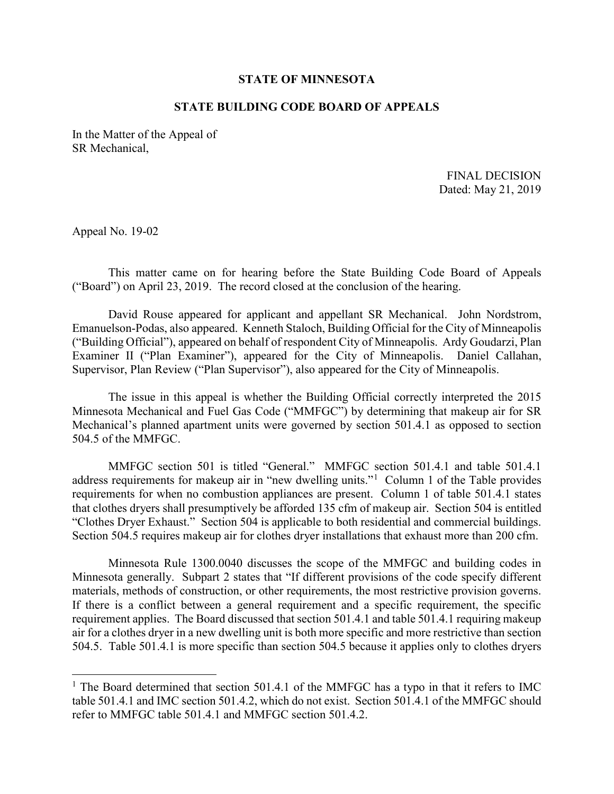## **STATE OF MINNESOTA**

## **STATE BUILDING CODE BOARD OF APPEALS**

In the Matter of the Appeal of SR Mechanical,

FINAL DECISION Dated: May 21, 2019

Appeal No. 19-02

-

This matter came on for hearing before the State Building Code Board of Appeals ("Board") on April 23, 2019. The record closed at the conclusion of the hearing.

 ("Building Official"), appeared on behalf of respondent City of Minneapolis. Ardy Goudarzi, Plan Examiner II ("Plan Examiner"), appeared for the City of Minneapolis. Daniel Callahan, David Rouse appeared for applicant and appellant SR Mechanical. John Nordstrom, Emanuelson-Podas, also appeared. Kenneth Staloch, Building Official for the City of Minneapolis Supervisor, Plan Review ("Plan Supervisor"), also appeared for the City of Minneapolis.

 Mechanical's planned apartment units were governed by section 501.4.1 as opposed to section The issue in this appeal is whether the Building Official correctly interpreted the 2015 Minnesota Mechanical and Fuel Gas Code ("MMFGC") by determining that makeup air for SR 504.5 of the MMFGC.

address requirements for makeup air in "new dwelling units."<sup>1</sup> Column [1](#page-0-0) of the Table provides "Clothes Dryer Exhaust." Section 504 is applicable to both residential and commercial buildings. MMFGC section 501 is titled "General." MMFGC section 501.4.1 and table 501.4.1 requirements for when no combustion appliances are present. Column 1 of table 501.4.1 states that clothes dryers shall presumptively be afforded 135 cfm of makeup air. Section 504 is entitled Section 504.5 requires makeup air for clothes dryer installations that exhaust more than 200 cfm.

materials, methods of construction, or other requirements, the most restrictive provision governs. Minnesota Rule 1300.0040 discusses the scope of the MMFGC and building codes in Minnesota generally. Subpart 2 states that "If different provisions of the code specify different If there is a conflict between a general requirement and a specific requirement, the specific requirement applies. The Board discussed that section 501.4.1 and table 501.4.1 requiring makeup air for a clothes dryer in a new dwelling unit is both more specific and more restrictive than section 504.5. Table 501.4.1 is more specific than section 504.5 because it applies only to clothes dryers

<span id="page-0-0"></span><sup>&</sup>lt;sup>1</sup> The Board determined that section 501.4.1 of the MMFGC has a typo in that it refers to IMC table 501.4.1 and IMC section 501.4.2, which do not exist. Section 501.4.1 of the MMFGC should refer to MMFGC table 501.4.1 and MMFGC section 501.4.2.